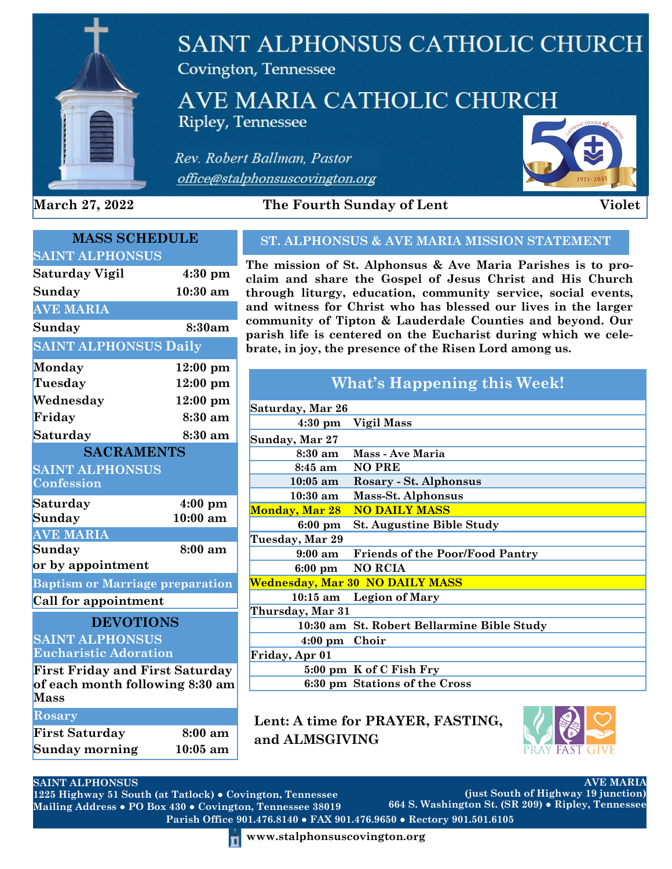

# **SAINT ALPHONSUS CATHOLIC CHURCH**

Covington, Tennessee

# AVE MARIA CATHOLIC CHURCH **Ripley, Tennessee**

Rev. Robert Ballman, Pastor office@stalphonsuscovington.org



**March 27, 2022** The Fourth Sunday of Lent Violet

| <b>MASS SCHEDULE</b>                   |                     |
|----------------------------------------|---------------------|
| <b>SAINT ALPHONSUS</b>                 |                     |
| <b>Saturday Vigil</b>                  | $4:30$ pm           |
| Sunday                                 | $10:30~\mathrm{am}$ |
| <b>AVE MARIA</b>                       |                     |
| Sunday                                 | 8:30am              |
| <b>SAINT ALPHONSUS Daily</b>           |                     |
| <b>Monday</b>                          | $12:00 \text{ pm}$  |
| Tuesday                                | $12:00$ pm          |
| Wednesday                              | 12:00 pm            |
| Friday                                 | 8:30 am             |
| Saturday                               | 8:30 am             |
| <b>SACRAMENTS</b>                      |                     |
| <b>SAINT ALPHONSUS</b>                 |                     |
| Confession                             |                     |
| Saturday                               | $4:00$ pm           |
| Sunday                                 | $10:00$ am          |
| <b>AVE MARIA</b>                       |                     |
| Sunday                                 | 8:00 am             |
| or by appointment                      |                     |
| <b>Baptism or Marriage preparation</b> |                     |
| <b>Call for appointment</b>            |                     |
| <b>DEVOTIONS</b>                       |                     |
| <b>SAINT ALPHONSUS</b>                 |                     |
| <b>Eucharistic Adoration</b>           |                     |
| <b>First Friday and First Saturday</b> |                     |
| of each month following 8:30 am        |                     |
| <b>Mass</b>                            |                     |
| Rosary                                 |                     |
| <b>First Saturday</b>                  | 8:00 am             |
| Sunday morning                         | 10:05 am            |

### **ST. ALPHONSUS & AVE MARIA MISSION STATEMENT**

**The mission of St. Alphonsus & Ave Maria Parishes is to proclaim and share the Gospel of Jesus Christ and His Church through liturgy, education, community service, social events, and witness for Christ who has blessed our lives in the larger community of Tipton & Lauderdale Counties and beyond. Our parish life is centered on the Eucharist during which we celebrate, in joy, the presence of the Risen Lord among us.**

| What's Happening this Week! |                                            |  |  |  |
|-----------------------------|--------------------------------------------|--|--|--|
| Saturday, Mar 26            |                                            |  |  |  |
| $4:30 \text{ pm}$           | <b>Vigil Mass</b>                          |  |  |  |
| Sunday, Mar 27              |                                            |  |  |  |
| 8:30 am                     | Mass - Ave Maria                           |  |  |  |
| 8:45 am NO PRE              |                                            |  |  |  |
| $10:05$ am                  | Rosary - St. Alphonsus                     |  |  |  |
| $10:30~\mathrm{am}$         | Mass-St. Alphonsus                         |  |  |  |
| <b>Monday, Mar 28</b>       | <b>NO DAILY MASS</b>                       |  |  |  |
| $6:00 \text{ pm}$           | <b>St. Augustine Bible Study</b>           |  |  |  |
| Tuesday, Mar 29             |                                            |  |  |  |
| $9:00 \text{ am}$           | <b>Friends of the Poor/Food Pantry</b>     |  |  |  |
|                             | 6:00 pm NO RCIA                            |  |  |  |
|                             | Wednesday, Mar 30 NO DAILY MASS            |  |  |  |
| $10:15 \text{ am}$          | <b>Legion of Mary</b>                      |  |  |  |
| Thursday, Mar 31            |                                            |  |  |  |
|                             | 10:30 am St. Robert Bellarmine Bible Study |  |  |  |
| $4:00 \text{ pm}$           | Choir                                      |  |  |  |
| Friday, Apr 01              |                                            |  |  |  |
|                             | 5:00 pm K of C Fish Fry                    |  |  |  |
|                             | 6:30 pm Stations of the Cross              |  |  |  |

**Lent: A time for PRAYER, FASTING, and ALMSGIVING**



**AVE MARIA**

#### **SAINT ALPHONSUS**

**Parish Office 901.476.8140 ● FAX 901.476.9650 ● Rectory 901.501.6105 1225 Highway 51 South (at Tatlock) ● Covington, Tennessee Mailing Address ● PO Box 430 ● Covington, Tennessee 38019 (just South of Highway 19 junction) 664 S. Washington St. (SR 209) ● Ripley, Tennessee**

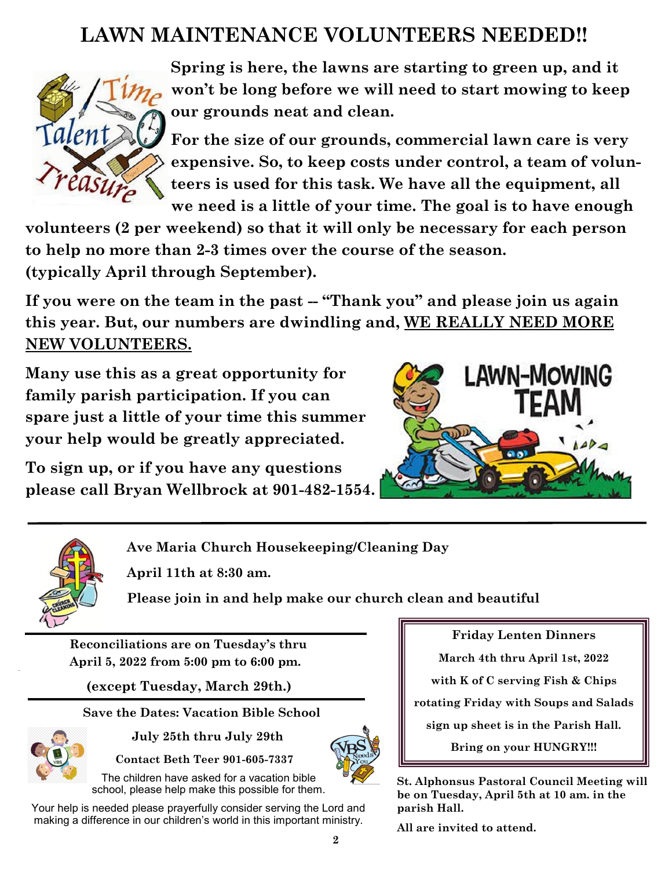# **LAWN MAINTENANCE VOLUNTEERS NEEDED!!**



**Spring is here, the lawns are starting to green up, and it won't be long before we will need to start mowing to keep our grounds neat and clean.**

**For the size of our grounds, commercial lawn care is very expensive. So, to keep costs under control, a team of volunteers is used for this task. We have all the equipment, all we need is a little of your time. The goal is to have enough** 

**volunteers (2 per weekend) so that it will only be necessary for each person to help no more than 2-3 times over the course of the season. (typically April through September).**

If you were on the team in the past -- "Thank you" and please join us again **this year. But, our numbers are dwindling and, WE REALLY NEED MORE NEW VOLUNTEERS.**

**Many use this as a great opportunity for family parish participation. If you can spare just a little of your time this summer your help would be greatly appreciated.**

**To sign up, or if you have any questions please call Bryan Wellbrock at 901-482-1554.** 





**Ave Maria Church Housekeeping/Cleaning Day**

**April 11th at 8:30 am.** 

**Please join in and help make our church clean and beautiful**

**Reconciliations are on Tuesday's thru April 5, 2022 from 5:00 pm to 6:00 pm.**

**(except Tuesday, March 29th.)**

 **Save the Dates: Vacation Bible School**



 **July 25th thru July 29th**

 **Contact Beth Teer 901-605-7337**

The children have asked for a vacation bible school, please help make this possible for them.

Your help is needed please prayerfully consider serving the Lord and making a difference in our children's world in this important ministry.

**Friday Lenten Dinners** 

**March 4th thru April 1st, 2022** 

**with K of C serving Fish & Chips**

**rotating Friday with Soups and Salads** 

**sign up sheet is in the Parish Hall.**

**Bring on your HUNGRY!!!**

**St. Alphonsus Pastoral Council Meeting will be on Tuesday, April 5th at 10 am. in the parish Hall.**

**All are invited to attend.**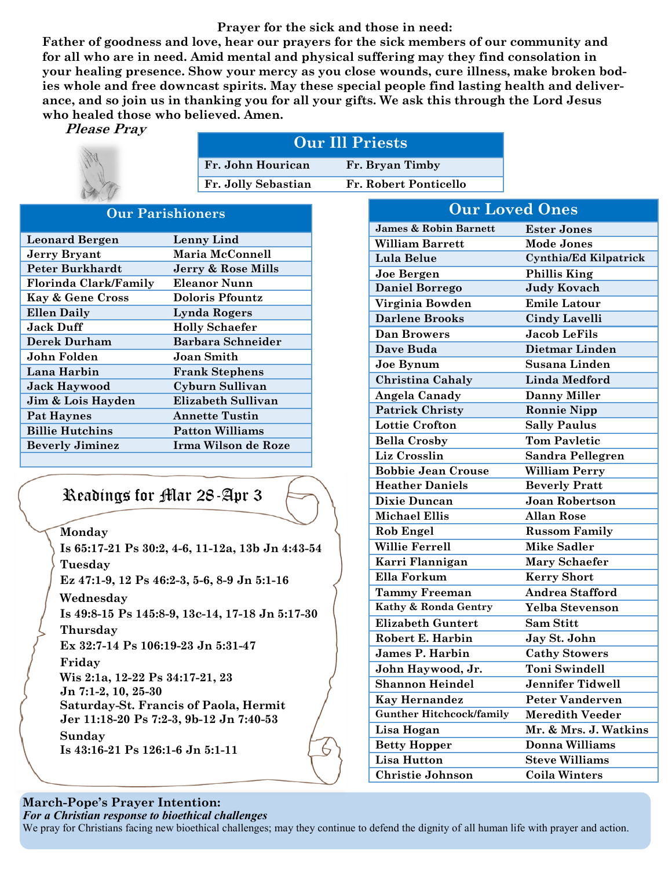#### **Prayer for the sick and those in need:**

**Father of goodness and love, hear our prayers for the sick members of our community and for all who are in need. Amid mental and physical suffering may they find consolation in your healing presence. Show your mercy as you close wounds, cure illness, make broken bodies whole and free downcast spirits. May these special people find lasting health and deliverance, and so join us in thanking you for all your gifts. We ask this through the Lord Jesus who healed those who believed. Amen.** 

**Please Pray** 



| <b>Our Ill Priests</b> |                       |  |
|------------------------|-----------------------|--|
| Fr. John Hourican      | Fr. Bryan Timby       |  |
| Fr. Jolly Sebastian    | Fr. Robert Ponticello |  |

#### **Our Parishioners**

| <b>Leonard Bergen</b>        | Lenny Lind                |
|------------------------------|---------------------------|
| <b>Jerry Bryant</b>          | Maria McConnell           |
| Peter Burkhardt              | Jerry & Rose Mills        |
| <b>Florinda Clark/Family</b> | Eleanor Nunn              |
| <b>Kay &amp; Gene Cross</b>  | Doloris Pfountz           |
| <b>Ellen Daily</b>           | Lynda Rogers              |
| <b>Jack Duff</b>             | <b>Holly Schaefer</b>     |
| Derek Durham                 | <b>Barbara Schneider</b>  |
| John Folden                  | Joan Smith                |
| Lana Harbin                  | <b>Frank Stephens</b>     |
| <b>Jack Haywood</b>          | Cyburn Sullivan           |
| Jim & Lois Hayden            | <b>Elizabeth Sullivan</b> |
| Pat Haynes                   | <b>Annette Tustin</b>     |
| <b>Billie Hutchins</b>       | <b>Patton Williams</b>    |
| <b>Beverly Jiminez</b>       | Irma Wilson de Roze       |
|                              |                           |

# Readings for Mar 28-Apr 3

**Monday**

**Is 65:17-21 Ps 30:2, 4-6, 11-12a, 13b Jn 4:43-54 Tuesday Ez 47:1-9, 12 Ps 46:2-3, 5-6, 8-9 Jn 5:1-16 Wednesday Is 49:8-15 Ps 145:8-9, 13c-14, 17-18 Jn 5:17-30 Thursday Ex 32:7-14 Ps 106:19-23 Jn 5:31-47 Friday Wis 2:1a, 12-22 Ps 34:17-21, 23 Jn 7:1-2, 10, 25-30 Saturday-St. Francis of Paola, Hermit Jer 11:18-20 Ps 7:2-3, 9b-12 Jn 7:40-53 Sunday Is 43:16-21 Ps 126:1-6 Jn 5:1-11**

| <b>Our Loved Ones</b>            |                              |  |  |
|----------------------------------|------------------------------|--|--|
| <b>James &amp; Robin Barnett</b> | <b>Ester Jones</b>           |  |  |
| <b>William Barrett</b>           | <b>Mode Jones</b>            |  |  |
| Lula Belue                       | <b>Cynthia/Ed Kilpatrick</b> |  |  |
| Joe Bergen                       | <b>Phillis King</b>          |  |  |
| <b>Daniel Borrego</b>            | <b>Judy Kovach</b>           |  |  |
| Virginia Bowden                  | <b>Emile Latour</b>          |  |  |
| <b>Darlene Brooks</b>            | <b>Cindy Lavelli</b>         |  |  |
| <b>Dan Browers</b>               | <b>Jacob LeFils</b>          |  |  |
| Dave Buda                        | Dietmar Linden               |  |  |
| Joe Bynum                        | Susana Linden                |  |  |
| <b>Christina Cahaly</b>          | <b>Linda Medford</b>         |  |  |
| Angela Canady                    | <b>Danny Miller</b>          |  |  |
| <b>Patrick Christy</b>           | <b>Ronnie Nipp</b>           |  |  |
| <b>Lottie Crofton</b>            | <b>Sally Paulus</b>          |  |  |
| <b>Bella Crosby</b>              | <b>Tom Payletic</b>          |  |  |
| Liz Crosslin                     | <b>Sandra Pellegren</b>      |  |  |
| <b>Bobbie Jean Crouse</b>        | <b>William Perry</b>         |  |  |
| <b>Heather Daniels</b>           | <b>Beverly Pratt</b>         |  |  |
| <b>Dixie Duncan</b>              | <b>Joan Robertson</b>        |  |  |
| <b>Michael Ellis</b>             | Allan Rose                   |  |  |
| <b>Rob Engel</b>                 | <b>Russom Family</b>         |  |  |
| <b>Willie Ferrell</b>            | <b>Mike Sadler</b>           |  |  |
| Karri Flannigan                  | <b>Mary Schaefer</b>         |  |  |
| Ella Forkum                      | <b>Kerry Short</b>           |  |  |
| <b>Tammy Freeman</b>             | <b>Andrea Stafford</b>       |  |  |
| Kathy & Ronda Gentry             | Yelba Stevenson              |  |  |
| <b>Elizabeth Guntert</b>         | <b>Sam Stitt</b>             |  |  |
| Robert E. Harbin                 | Jay St. John                 |  |  |
| <b>James P. Harbin</b>           | <b>Cathy Stowers</b>         |  |  |
| John Haywood, Jr.                | <b>Toni Swindell</b>         |  |  |
| <b>Shannon Heindel</b>           | <b>Jennifer Tidwell</b>      |  |  |
| <b>Kay Hernandez</b>             | <b>Peter Vanderven</b>       |  |  |
| <b>Gunther Hitchcock/family</b>  | <b>Meredith Veeder</b>       |  |  |
| Lisa Hogan                       | Mr. & Mrs. J. Watkins        |  |  |
| <b>Betty Hopper</b>              | Donna Williams               |  |  |
| <b>Lisa Hutton</b>               | <b>Steve Williams</b>        |  |  |
| Christie Johnson                 | <b>Coila Winters</b>         |  |  |

## **March-Pope's Prayer Intention:**

*For a Christian response to bioethical challenges*

We pray for Christians facing new bioethical challenges; may they continue to defend the dignity of all human life with prayer and action.